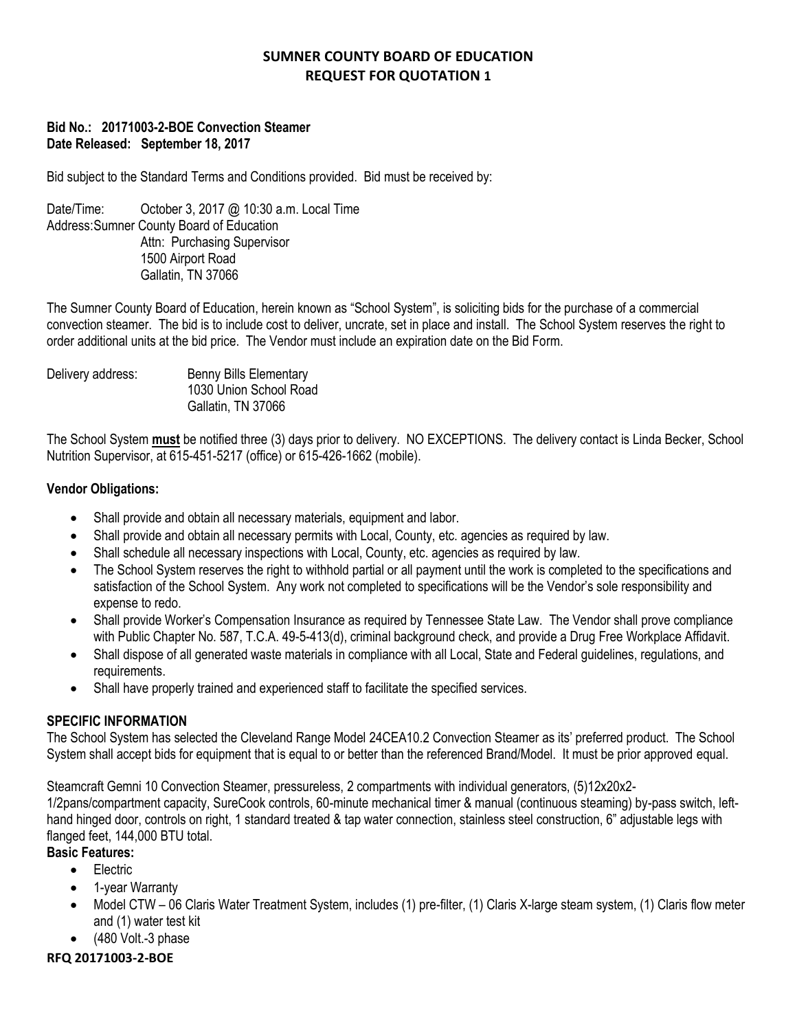## **Bid No.: 20171003-2-BOE Convection Steamer Date Released: September 18, 2017**

Bid subject to the Standard Terms and Conditions provided. Bid must be received by:

Date/Time: October 3, 2017 @ 10:30 a.m. Local Time Address:Sumner County Board of Education Attn: Purchasing Supervisor 1500 Airport Road Gallatin, TN 37066

The Sumner County Board of Education, herein known as "School System", is soliciting bids for the purchase of a commercial convection steamer. The bid is to include cost to deliver, uncrate, set in place and install. The School System reserves the right to order additional units at the bid price. The Vendor must include an expiration date on the Bid Form.

Delivery address: Benny Bills Elementary 1030 Union School Road Gallatin, TN 37066

The School System **must** be notified three (3) days prior to delivery. NO EXCEPTIONS. The delivery contact is Linda Becker, School Nutrition Supervisor, at 615-451-5217 (office) or 615-426-1662 (mobile).

## **Vendor Obligations:**

- Shall provide and obtain all necessary materials, equipment and labor.
- Shall provide and obtain all necessary permits with Local, County, etc. agencies as required by law.
- Shall schedule all necessary inspections with Local, County, etc. agencies as required by law.
- The School System reserves the right to withhold partial or all payment until the work is completed to the specifications and satisfaction of the School System. Any work not completed to specifications will be the Vendor's sole responsibility and expense to redo.
- Shall provide Worker's Compensation Insurance as required by Tennessee State Law. The Vendor shall prove compliance with Public Chapter No. 587, T.C.A. 49-5-413(d), criminal background check, and provide a Drug Free Workplace Affidavit.
- Shall dispose of all generated waste materials in compliance with all Local, State and Federal guidelines, regulations, and requirements.
- Shall have properly trained and experienced staff to facilitate the specified services.

## **SPECIFIC INFORMATION**

The School System has selected the Cleveland Range Model 24CEA10.2 Convection Steamer as its' preferred product. The School System shall accept bids for equipment that is equal to or better than the referenced Brand/Model. It must be prior approved equal.

Steamcraft Gemni 10 Convection Steamer, pressureless, 2 compartments with individual generators, (5)12x20x2-

1/2pans/compartment capacity, SureCook controls, 60-minute mechanical timer & manual (continuous steaming) by-pass switch, lefthand hinged door, controls on right, 1 standard treated & tap water connection, stainless steel construction, 6" adjustable legs with flanged feet, 144,000 BTU total.

# **Basic Features:**

- **•** Electric
- 1-year Warranty
- Model CTW 06 Claris Water Treatment System, includes (1) pre-filter, (1) Claris X-large steam system, (1) Claris flow meter and (1) water test kit
- $\bullet$  (480 Volt.-3 phase)

## **RFQ 20171003-2-BOE**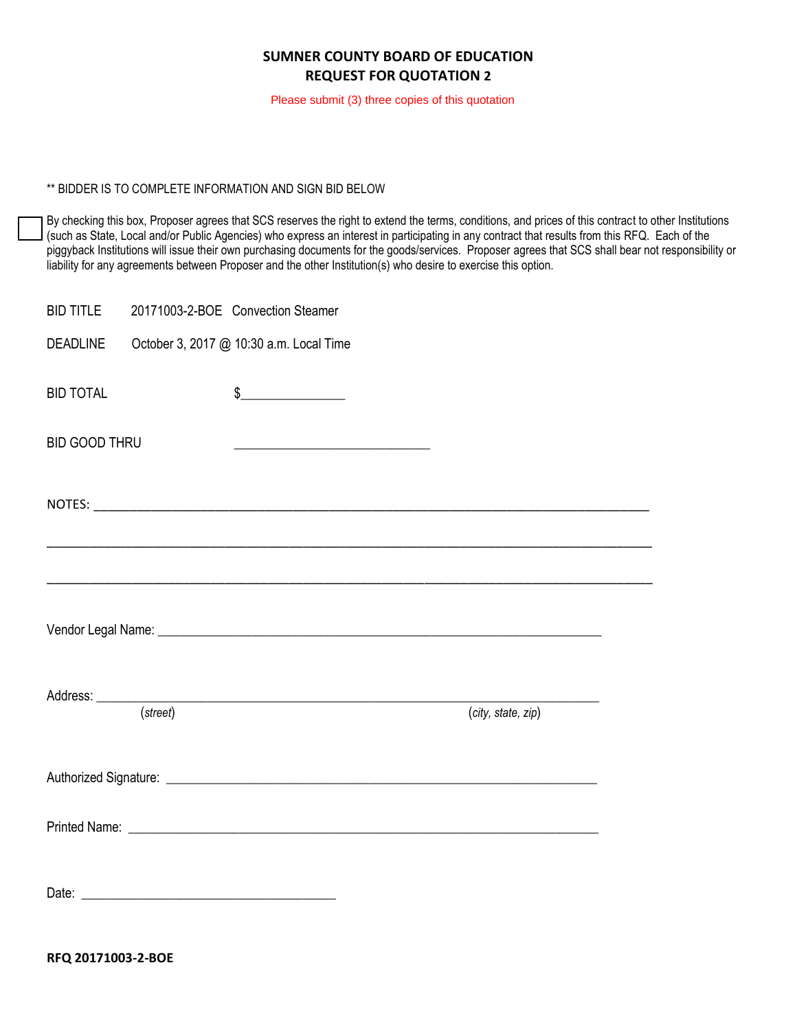Please submit (3) three copies of this quotation

#### \*\* BIDDER IS TO COMPLETE INFORMATION AND SIGN BID BELOW

By checking this box, Proposer agrees that SCS reserves the right to extend the terms, conditions, and prices of this contract to other Institutions (such as State, Local and/or Public Agencies) who express an interest in participating in any contract that results from this RFQ. Each of the piggyback Institutions will issue their own purchasing documents for the goods/services. Proposer agrees that SCS shall bear not responsibility or liability for any agreements between Proposer and the other Institution(s) who desire to exercise this option.

| <b>BID TITLE</b>                                                          |          | 20171003-2-BOE Convection Steamer                                                                                                                                                                                                                                                                                                                                   |                    |  |  |
|---------------------------------------------------------------------------|----------|---------------------------------------------------------------------------------------------------------------------------------------------------------------------------------------------------------------------------------------------------------------------------------------------------------------------------------------------------------------------|--------------------|--|--|
| <b>DEADLINE</b>                                                           |          | October 3, 2017 @ 10:30 a.m. Local Time                                                                                                                                                                                                                                                                                                                             |                    |  |  |
| <b>BID TOTAL</b>                                                          |          | $\begin{picture}(20,20) \put(0,0){\vector(1,0){100}} \put(15,0){\vector(1,0){100}} \put(15,0){\vector(1,0){100}} \put(15,0){\vector(1,0){100}} \put(15,0){\vector(1,0){100}} \put(15,0){\vector(1,0){100}} \put(15,0){\vector(1,0){100}} \put(15,0){\vector(1,0){100}} \put(15,0){\vector(1,0){100}} \put(15,0){\vector(1,0){100}} \put(15,0){\vector(1,0){100}} \$ |                    |  |  |
| <b>BID GOOD THRU</b><br><u> 1989 - Johann Barbara, martxa alemaniar a</u> |          |                                                                                                                                                                                                                                                                                                                                                                     |                    |  |  |
|                                                                           |          |                                                                                                                                                                                                                                                                                                                                                                     |                    |  |  |
|                                                                           |          | ,我们也不能在这里的时候,我们也不能在这里的时候,我们也不能会在这里,我们也不能会不能会不能会不能会。""我们的人,我们也不能会不能会不能会不能会不能会不能会不<br><u> 1989 - Johann John Stone, market fan de ferskein fan de ferskeine fan de ferskeine fan de ferskeine fan de fe</u>                                                                                                                                                           |                    |  |  |
|                                                                           |          |                                                                                                                                                                                                                                                                                                                                                                     |                    |  |  |
|                                                                           | (street) |                                                                                                                                                                                                                                                                                                                                                                     | (city, state, zip) |  |  |
|                                                                           |          |                                                                                                                                                                                                                                                                                                                                                                     |                    |  |  |
|                                                                           |          |                                                                                                                                                                                                                                                                                                                                                                     |                    |  |  |
|                                                                           |          |                                                                                                                                                                                                                                                                                                                                                                     |                    |  |  |

**RFQ 20171003-2-BOE**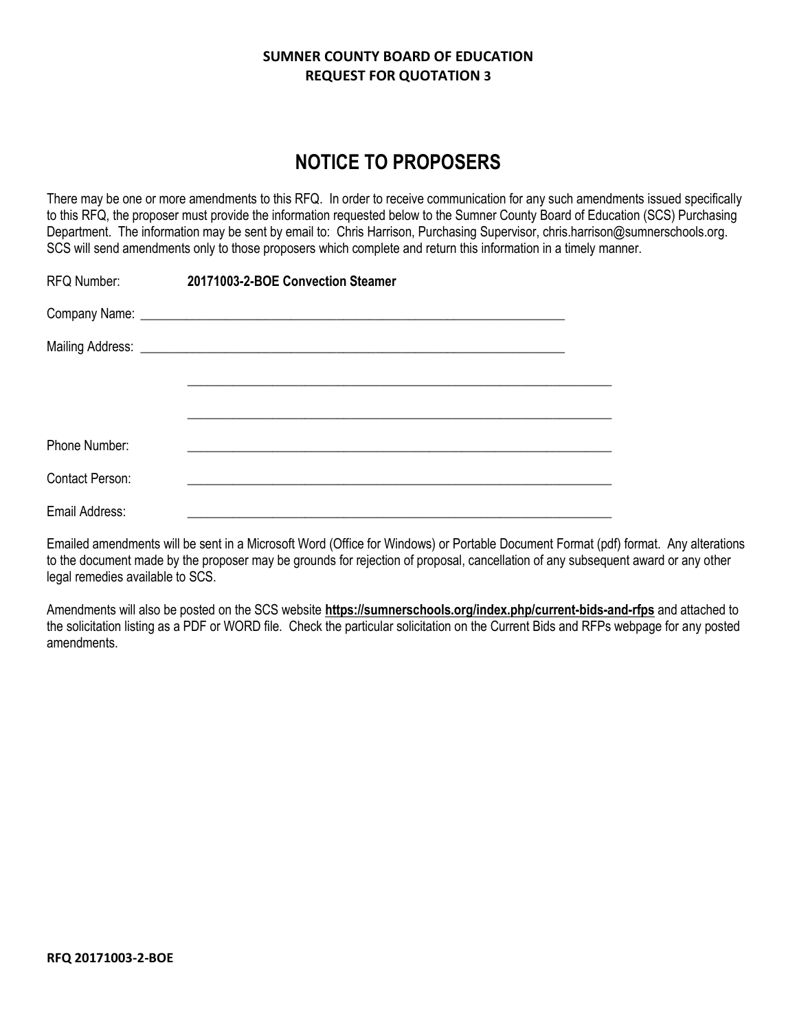# **NOTICE TO PROPOSERS**

There may be one or more amendments to this RFQ. In order to receive communication for any such amendments issued specifically to this RFQ, the proposer must provide the information requested below to the Sumner County Board of Education (SCS) Purchasing Department. The information may be sent by email to: Chris Harrison, Purchasing Supervisor, chris.harrison@sumnerschools.org. SCS will send amendments only to those proposers which complete and return this information in a timely manner.

| RFQ Number:            | 20171003-2-BOE Convection Steamer |  |
|------------------------|-----------------------------------|--|
|                        |                                   |  |
|                        |                                   |  |
|                        |                                   |  |
|                        |                                   |  |
| Phone Number:          |                                   |  |
| <b>Contact Person:</b> |                                   |  |
| Email Address:         |                                   |  |

Emailed amendments will be sent in a Microsoft Word (Office for Windows) or Portable Document Format (pdf) format. Any alterations to the document made by the proposer may be grounds for rejection of proposal, cancellation of any subsequent award or any other legal remedies available to SCS.

Amendments will also be posted on the SCS website **https://sumnerschools.org/index.php/current-bids-and-rfps** and attached to the solicitation listing as a PDF or WORD file. Check the particular solicitation on the Current Bids and RFPs webpage for any posted amendments.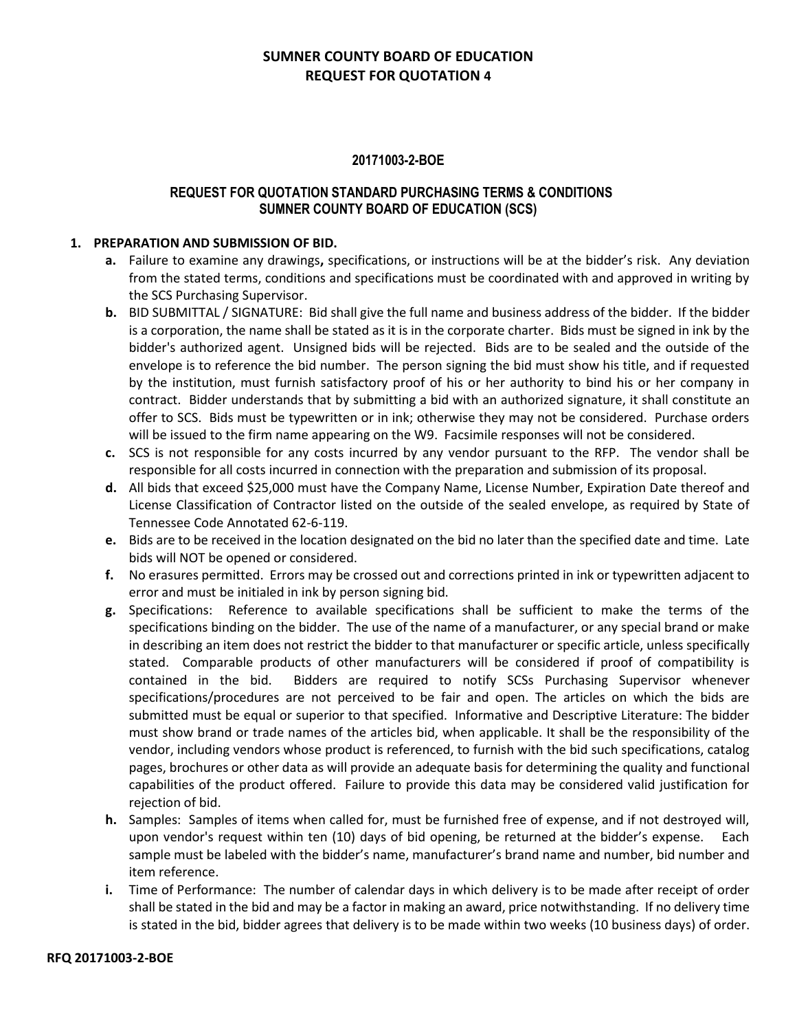### **20171003-2-BOE**

### **REQUEST FOR QUOTATION STANDARD PURCHASING TERMS & CONDITIONS SUMNER COUNTY BOARD OF EDUCATION (SCS)**

### **1. PREPARATION AND SUBMISSION OF BID.**

- **a.** Failure to examine any drawings**,** specifications, or instructions will be at the bidder's risk. Any deviation from the stated terms, conditions and specifications must be coordinated with and approved in writing by the SCS Purchasing Supervisor.
- **b.** BID SUBMITTAL / SIGNATURE: Bid shall give the full name and business address of the bidder. If the bidder is a corporation, the name shall be stated as it is in the corporate charter. Bids must be signed in ink by the bidder's authorized agent. Unsigned bids will be rejected. Bids are to be sealed and the outside of the envelope is to reference the bid number. The person signing the bid must show his title, and if requested by the institution, must furnish satisfactory proof of his or her authority to bind his or her company in contract. Bidder understands that by submitting a bid with an authorized signature, it shall constitute an offer to SCS. Bids must be typewritten or in ink; otherwise they may not be considered. Purchase orders will be issued to the firm name appearing on the W9. Facsimile responses will not be considered.
- **c.** SCS is not responsible for any costs incurred by any vendor pursuant to the RFP. The vendor shall be responsible for all costs incurred in connection with the preparation and submission of its proposal.
- **d.** All bids that exceed \$25,000 must have the Company Name, License Number, Expiration Date thereof and License Classification of Contractor listed on the outside of the sealed envelope, as required by State of Tennessee Code Annotated 62-6-119.
- **e.** Bids are to be received in the location designated on the bid no later than the specified date and time. Late bids will NOT be opened or considered.
- **f.** No erasures permitted. Errors may be crossed out and corrections printed in ink or typewritten adjacent to error and must be initialed in ink by person signing bid.
- **g.** Specifications: Reference to available specifications shall be sufficient to make the terms of the specifications binding on the bidder. The use of the name of a manufacturer, or any special brand or make in describing an item does not restrict the bidder to that manufacturer or specific article, unless specifically stated. Comparable products of other manufacturers will be considered if proof of compatibility is contained in the bid. Bidders are required to notify SCSs Purchasing Supervisor whenever specifications/procedures are not perceived to be fair and open. The articles on which the bids are submitted must be equal or superior to that specified. Informative and Descriptive Literature: The bidder must show brand or trade names of the articles bid, when applicable. It shall be the responsibility of the vendor, including vendors whose product is referenced, to furnish with the bid such specifications, catalog pages, brochures or other data as will provide an adequate basis for determining the quality and functional capabilities of the product offered. Failure to provide this data may be considered valid justification for rejection of bid.
- **h.** Samples: Samples of items when called for, must be furnished free of expense, and if not destroyed will, upon vendor's request within ten (10) days of bid opening, be returned at the bidder's expense. Each sample must be labeled with the bidder's name, manufacturer's brand name and number, bid number and item reference.
- **i.** Time of Performance: The number of calendar days in which delivery is to be made after receipt of order shall be stated in the bid and may be a factor in making an award, price notwithstanding. If no delivery time is stated in the bid, bidder agrees that delivery is to be made within two weeks (10 business days) of order.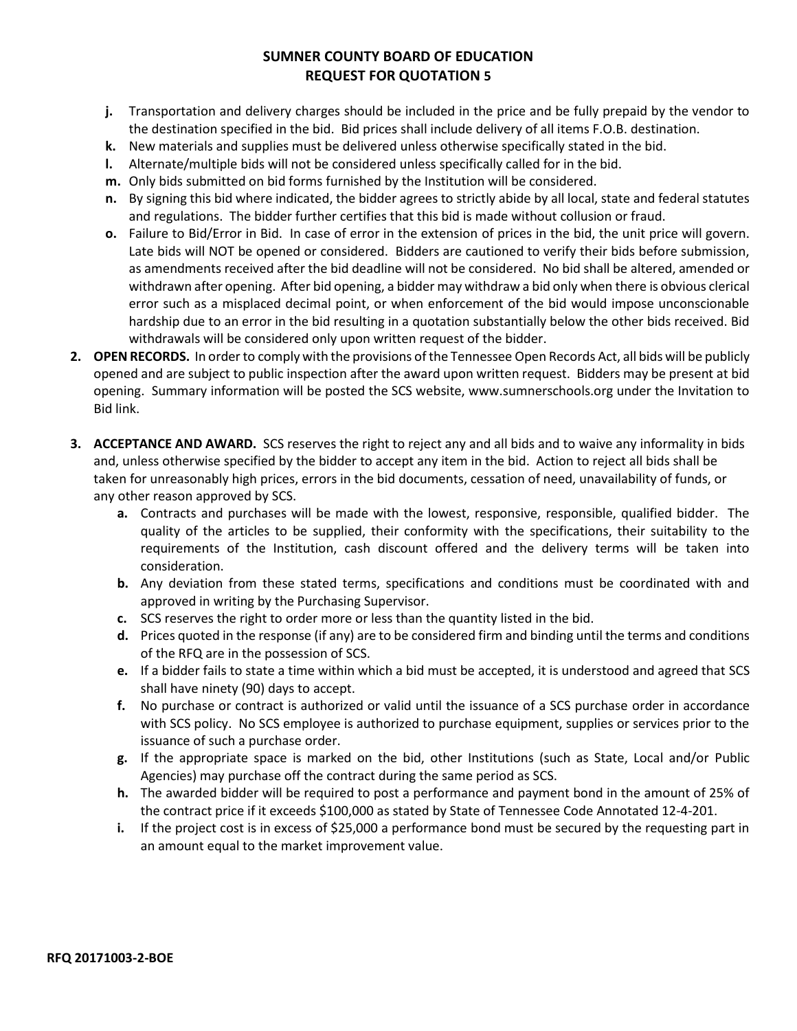- **j.** Transportation and delivery charges should be included in the price and be fully prepaid by the vendor to the destination specified in the bid. Bid prices shall include delivery of all items F.O.B. destination.
- **k.** New materials and supplies must be delivered unless otherwise specifically stated in the bid.
- **l.** Alternate/multiple bids will not be considered unless specifically called for in the bid.
- **m.** Only bids submitted on bid forms furnished by the Institution will be considered.
- **n.** By signing this bid where indicated, the bidder agrees to strictly abide by all local, state and federal statutes and regulations. The bidder further certifies that this bid is made without collusion or fraud.
- **o.** Failure to Bid/Error in Bid. In case of error in the extension of prices in the bid, the unit price will govern. Late bids will NOT be opened or considered. Bidders are cautioned to verify their bids before submission, as amendments received after the bid deadline will not be considered. No bid shall be altered, amended or withdrawn after opening. After bid opening, a bidder may withdraw a bid only when there is obvious clerical error such as a misplaced decimal point, or when enforcement of the bid would impose unconscionable hardship due to an error in the bid resulting in a quotation substantially below the other bids received. Bid withdrawals will be considered only upon written request of the bidder.
- **2. OPEN RECORDS.** In order to comply with the provisions of the Tennessee Open Records Act, all bids will be publicly opened and are subject to public inspection after the award upon written request. Bidders may be present at bid opening. Summary information will be posted the SCS website, www.sumnerschools.org under the Invitation to Bid link.
- **3. ACCEPTANCE AND AWARD.** SCS reserves the right to reject any and all bids and to waive any informality in bids and, unless otherwise specified by the bidder to accept any item in the bid. Action to reject all bids shall be taken for unreasonably high prices, errors in the bid documents, cessation of need, unavailability of funds, or any other reason approved by SCS.
	- **a.** Contracts and purchases will be made with the lowest, responsive, responsible, qualified bidder. The quality of the articles to be supplied, their conformity with the specifications, their suitability to the requirements of the Institution, cash discount offered and the delivery terms will be taken into consideration.
	- **b.** Any deviation from these stated terms, specifications and conditions must be coordinated with and approved in writing by the Purchasing Supervisor.
	- **c.** SCS reserves the right to order more or less than the quantity listed in the bid.
	- **d.** Prices quoted in the response (if any) are to be considered firm and binding until the terms and conditions of the RFQ are in the possession of SCS.
	- **e.** If a bidder fails to state a time within which a bid must be accepted, it is understood and agreed that SCS shall have ninety (90) days to accept.
	- **f.** No purchase or contract is authorized or valid until the issuance of a SCS purchase order in accordance with SCS policy. No SCS employee is authorized to purchase equipment, supplies or services prior to the issuance of such a purchase order.
	- **g.** If the appropriate space is marked on the bid, other Institutions (such as State, Local and/or Public Agencies) may purchase off the contract during the same period as SCS.
	- **h.** The awarded bidder will be required to post a performance and payment bond in the amount of 25% of the contract price if it exceeds \$100,000 as stated by State of Tennessee Code Annotated 12-4-201.
	- **i.** If the project cost is in excess of \$25,000 a performance bond must be secured by the requesting part in an amount equal to the market improvement value.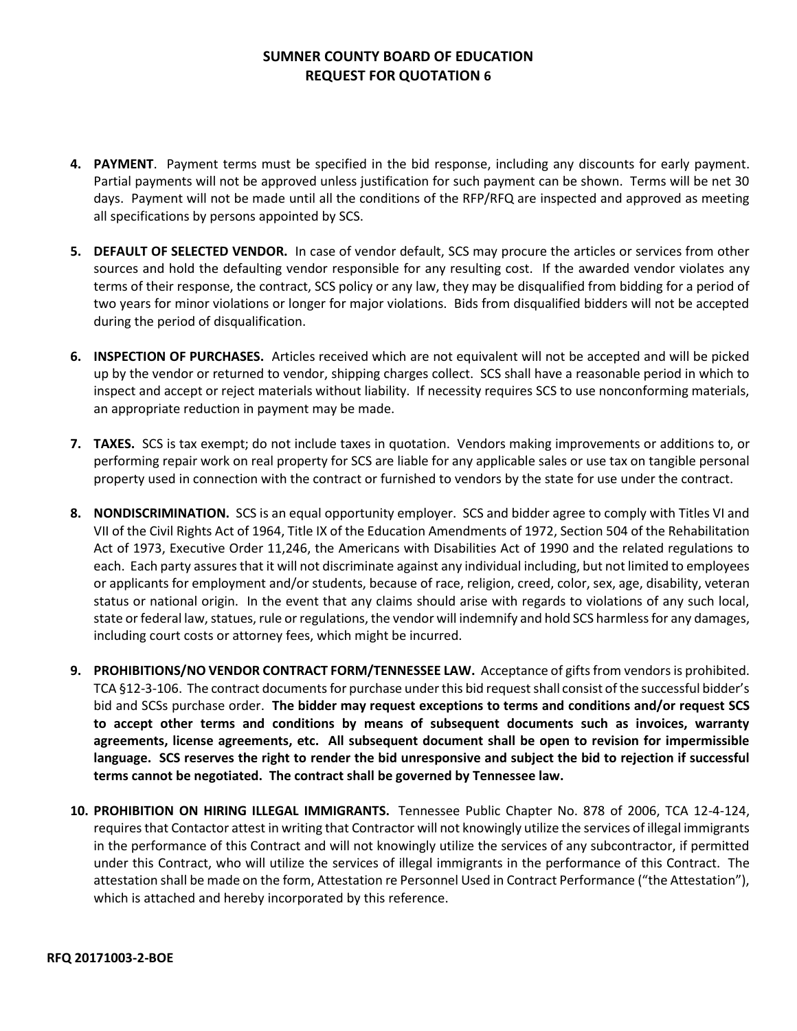- **4. PAYMENT**. Payment terms must be specified in the bid response, including any discounts for early payment. Partial payments will not be approved unless justification for such payment can be shown. Terms will be net 30 days. Payment will not be made until all the conditions of the RFP/RFQ are inspected and approved as meeting all specifications by persons appointed by SCS.
- **5. DEFAULT OF SELECTED VENDOR.** In case of vendor default, SCS may procure the articles or services from other sources and hold the defaulting vendor responsible for any resulting cost. If the awarded vendor violates any terms of their response, the contract, SCS policy or any law, they may be disqualified from bidding for a period of two years for minor violations or longer for major violations. Bids from disqualified bidders will not be accepted during the period of disqualification.
- **6. INSPECTION OF PURCHASES.** Articles received which are not equivalent will not be accepted and will be picked up by the vendor or returned to vendor, shipping charges collect. SCS shall have a reasonable period in which to inspect and accept or reject materials without liability. If necessity requires SCS to use nonconforming materials, an appropriate reduction in payment may be made.
- **7. TAXES.** SCS is tax exempt; do not include taxes in quotation. Vendors making improvements or additions to, or performing repair work on real property for SCS are liable for any applicable sales or use tax on tangible personal property used in connection with the contract or furnished to vendors by the state for use under the contract.
- **8. NONDISCRIMINATION.** SCS is an equal opportunity employer. SCS and bidder agree to comply with Titles VI and VII of the Civil Rights Act of 1964, Title IX of the Education Amendments of 1972, Section 504 of the Rehabilitation Act of 1973, Executive Order 11,246, the Americans with Disabilities Act of 1990 and the related regulations to each. Each party assures that it will not discriminate against any individual including, but not limited to employees or applicants for employment and/or students, because of race, religion, creed, color, sex, age, disability, veteran status or national origin. In the event that any claims should arise with regards to violations of any such local, state or federal law, statues, rule or regulations, the vendor will indemnify and hold SCS harmless for any damages, including court costs or attorney fees, which might be incurred.
- **9. PROHIBITIONS/NO VENDOR CONTRACT FORM/TENNESSEE LAW.** Acceptance of gifts from vendors is prohibited. TCA §12-3-106. The contract documents for purchase under this bid request shall consist of the successful bidder's bid and SCSs purchase order. **The bidder may request exceptions to terms and conditions and/or request SCS to accept other terms and conditions by means of subsequent documents such as invoices, warranty agreements, license agreements, etc. All subsequent document shall be open to revision for impermissible language. SCS reserves the right to render the bid unresponsive and subject the bid to rejection if successful terms cannot be negotiated. The contract shall be governed by Tennessee law.**
- **10. PROHIBITION ON HIRING ILLEGAL IMMIGRANTS.** Tennessee Public Chapter No. 878 of 2006, TCA 12-4-124, requires that Contactor attest in writing that Contractor will not knowingly utilize the services of illegal immigrants in the performance of this Contract and will not knowingly utilize the services of any subcontractor, if permitted under this Contract, who will utilize the services of illegal immigrants in the performance of this Contract. The attestation shall be made on the form, Attestation re Personnel Used in Contract Performance ("the Attestation"), which is attached and hereby incorporated by this reference.